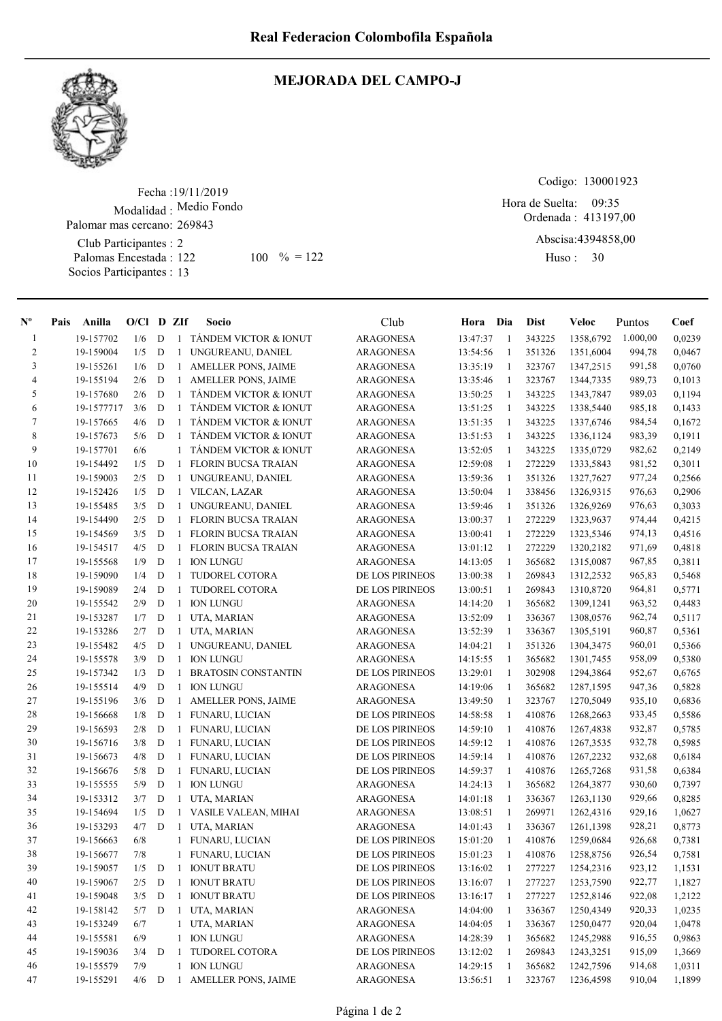

## MEJORADA DEL CAMPO-J

Fecha : 19/11/2019 Modalidad : Medio Fondo Club Participantes : 2 Palomas Encestada : Palomar mas cercano: 269843

Socios Participantes : 13

122 100 % = 122 Huso: 30

Codigo: 130001923

Ordenada : 413197,00 Hora de Suelta: 09:35

Abscisa: 4394858,00

Huso: 30

| -1<br>$\overline{2}$ |            |     |             | $O/Cl$ D ZIf | Socio                            | Club                                 | Hora Dia             |              | <b>Dist</b>      | Veloc     | Puntos           | Coef   |
|----------------------|------------|-----|-------------|--------------|----------------------------------|--------------------------------------|----------------------|--------------|------------------|-----------|------------------|--------|
|                      | 19-157702  | 1/6 | D           | $\mathbf{1}$ | <b>TANDEM VICTOR &amp; IONUT</b> | <b>ARAGONESA</b>                     | 13:47:37             | -1           | 343225           | 1358,6792 | 1.000,00         | 0,0239 |
|                      | 19-159004  | 1/5 | D           | $\mathbf{1}$ | UNGUREANU, DANIEL                | ARAGONESA                            | 13:54:56             | 1            | 351326           | 1351,6004 | 994,78           | 0,0467 |
| 3                    | 19-155261  | 1/6 | D           | 1            | <b>AMELLER PONS, JAIME</b>       | ARAGONESA                            | 13:35:19             | -1           | 323767           | 1347,2515 | 991,58           | 0,0760 |
| $\overline{4}$       | 19-155194  | 2/6 | D           | 1            | AMELLER PONS, JAIME              | ARAGONESA                            | 13:35:46             | -1           | 323767           | 1344,7335 | 989,73           | 0,1013 |
| 5                    | 19-157680  | 2/6 | D           | $\mathbf{1}$ | TANDEM VICTOR & IONUT            | ARAGONESA                            | 13:50:25             | -1           | 343225           | 1343,7847 | 989,03           | 0,1194 |
| 6                    | 19-1577717 | 3/6 | D           | $\mathbf{1}$ | TÁNDEM VICTOR & IONUT            | ARAGONESA                            | 13:51:25             | -1           | 343225           | 1338,5440 | 985,18           | 0,1433 |
| 7                    | 19-157665  | 4/6 | D           | $\mathbf{1}$ | TANDEM VICTOR & IONUT            | ARAGONESA                            | 13:51:35             | 1            | 343225           | 1337,6746 | 984,54           | 0,1672 |
| 8                    | 19-157673  | 5/6 | D           | 1            | TANDEM VICTOR & IONUT            | ARAGONESA                            | 13:51:53             | 1            | 343225           | 1336,1124 | 983,39           | 0,1911 |
| 9                    | 19-157701  | 6/6 |             | 1            | TÁNDEM VICTOR & IONUT            | <b>ARAGONESA</b>                     | 13:52:05             | -1           | 343225           | 1335,0729 | 982,62           | 0,2149 |
| 10                   | 19-154492  | 1/5 | D           | 1            | <b>FLORIN BUCSA TRAIAN</b>       | <b>ARAGONESA</b>                     | 12:59:08             | 1            | 272229           | 1333,5843 | 981,52           | 0,3011 |
| 11                   | 19-159003  | 2/5 | D           | $\mathbf{1}$ | UNGUREANU, DANIEL                | ARAGONESA                            | 13:59:36             | -1           | 351326           | 1327,7627 | 977,24           | 0,2566 |
| 12                   | 19-152426  | 1/5 | D           | $\mathbf{1}$ | VILCAN, LAZAR                    | <b>ARAGONESA</b>                     | 13:50:04             | -1           | 338456           | 1326,9315 | 976,63           | 0,2906 |
| 13                   | 19-155485  | 3/5 | D           | $\mathbf{1}$ | UNGUREANU, DANIEL                | ARAGONESA                            | 13:59:46             | -1           | 351326           | 1326,9269 | 976,63           | 0,3033 |
| 14                   | 19-154490  | 2/5 | D           | $\mathbf{1}$ | <b>FLORIN BUCSA TRAIAN</b>       | ARAGONESA                            | 13:00:37             | 1            | 272229           | 1323,9637 | 974,44           | 0,4215 |
| 15                   | 19-154569  | 3/5 | D           | $\mathbf{1}$ | <b>FLORIN BUCSA TRAIAN</b>       | <b>ARAGONESA</b>                     | 13:00:41             | -1           | 272229           | 1323,5346 | 974,13           | 0,4516 |
| 16                   | 19-154517  | 4/5 | D           | $\mathbf{1}$ | <b>FLORIN BUCSA TRAIAN</b>       | <b>ARAGONESA</b>                     | 13:01:12             | -1           | 272229           | 1320,2182 | 971,69           | 0,4818 |
| 17                   | 19-155568  | 1/9 | D           | 1            | <b>ION LUNGU</b>                 | ARAGONESA                            | 14:13:05             | -1           | 365682           | 1315,0087 | 967,85           | 0,3811 |
| 18                   | 19-159090  | 1/4 | D           | $\mathbf{1}$ | TUDOREL COTORA                   | DE LOS PIRINEOS                      | 13:00:38             | $\mathbf{1}$ | 269843           | 1312,2532 | 965,83           | 0,5468 |
| 19                   | 19-159089  | 2/4 | D           | 1            | TUDOREL COTORA                   | DE LOS PIRINEOS                      | 13:00:51             | -1           | 269843           | 1310,8720 | 964,81           | 0,5771 |
| 20                   | 19-155542  | 2/9 | D           | 1            | <b>ION LUNGU</b>                 | <b>ARAGONESA</b>                     | 14:14:20             | -1           | 365682           | 1309,1241 | 963,52           | 0,4483 |
| 21                   | 19-153287  | 1/7 | D           | 1            | UTA, MARIAN                      | <b>ARAGONESA</b>                     | 13:52:09             | -1           | 336367           | 1308,0576 | 962,74           | 0,5117 |
| 22                   | 19-153286  | 2/7 | D           | $\mathbf{1}$ | UTA, MARIAN                      | <b>ARAGONESA</b>                     | 13:52:39             | -1           | 336367           | 1305,5191 | 960,87           | 0,5361 |
| 23                   | 19-155482  | 4/5 | D           | $\mathbf{1}$ | UNGUREANU, DANIEL                | <b>ARAGONESA</b>                     | 14:04:21             | -1           | 351326           | 1304,3475 | 960,01           | 0,5366 |
| 24                   | 19-155578  | 3/9 | $\mathbf D$ | $\mathbf{1}$ | <b>ION LUNGU</b>                 | <b>ARAGONESA</b>                     | 14:15:55             | -1           | 365682           | 1301,7455 | 958,09           | 0,5380 |
| 25                   | 19-157342  | 1/3 | D           | $\mathbf{1}$ | <b>BRATOSIN CONSTANTIN</b>       | DE LOS PIRINEOS                      | 13:29:01             | 1            | 302908           | 1294,3864 | 952,67           | 0,6765 |
| 26                   | 19-155514  | 4/9 | D           | 1            | <b>ION LUNGU</b>                 | ARAGONESA                            | 14:19:06             | -1           | 365682           | 1287,1595 | 947,36           | 0,5828 |
| 27                   | 19-155196  | 3/6 | D           | 1            | <b>AMELLER PONS, JAIME</b>       | <b>ARAGONESA</b>                     | 13:49:50             | -1           | 323767           | 1270,5049 | 935,10           | 0,6836 |
| 28                   | 19-156668  | 1/8 | D           | 1            | FUNARU, LUCIAN                   | DE LOS PIRINEOS                      | 14:58:58             | -1           | 410876           | 1268,2663 | 933,45           | 0,5586 |
| 29                   | 19-156593  | 2/8 | D           | $\mathbf{1}$ | FUNARU, LUCIAN                   | DE LOS PIRINEOS                      | 14:59:10             | -1           | 410876           | 1267,4838 | 932,87           | 0,5785 |
| 30                   | 19-156716  | 3/8 | D           | $\mathbf{1}$ | FUNARU, LUCIAN                   | DE LOS PIRINEOS                      |                      | -1           | 410876           | 1267,3535 | 932,78           | 0,5985 |
| 31                   | 19-156673  | 4/8 | D           | $\mathbf{1}$ | FUNARU, LUCIAN                   | DE LOS PIRINEOS                      | 14:59:12<br>14:59:14 | -1           | 410876           |           | 932,68           | 0,6184 |
| 32                   |            |     |             |              |                                  |                                      |                      |              |                  | 1267,2232 |                  |        |
| 33                   | 19-156676  | 5/8 | D           | $\mathbf{1}$ | <b>FUNARU, LUCIAN</b>            | DE LOS PIRINEOS                      | 14:59:37             | -1           | 410876<br>365682 | 1265,7268 | 931,58           | 0,6384 |
| 34                   | 19-155555  | 5/9 | D           | 1            | <b>ION LUNGU</b>                 | <b>ARAGONESA</b><br><b>ARAGONESA</b> | 14:24:13             | -1           |                  | 1264,3877 | 930,60<br>929,66 | 0,7397 |
| 35                   | 19-153312  | 3/7 | D           | 1            | UTA, MARIAN                      |                                      | 14:01:18             | -1           | 336367           | 1263,1130 |                  | 0,8285 |
|                      | 19-154694  | 1/5 | ${\bf D}$   | $\mathbf{1}$ | VASILE VALEAN, MIHAI             | <b>ARAGONESA</b>                     | 13:08:51             | -1           | 269971           | 1262,4316 | 929,16           | 1,0627 |
| 36                   | 19-153293  | 4/7 | D           | $\mathbf{1}$ | UTA, MARIAN                      | <b>ARAGONESA</b>                     | 14:01:43             | 1            | 336367           | 1261,1398 | 928,21           | 0,8773 |
| 37                   | 19-156663  | 6/8 |             |              | 1 FUNARU, LUCIAN                 | DE LOS PIRINEOS                      | 15:01:20             | 1            | 410876           | 1259,0684 | 926,68           | 0,7381 |
| 38                   | 19-156677  | 7/8 |             | $\mathbf{1}$ | FUNARU, LUCIAN                   | DE LOS PIRINEOS                      | 15:01:23             | $\mathbf{1}$ | 410876           | 1258,8756 | 926,54           | 0,7581 |
| 39                   | 19-159057  | 1/5 | D           | 1            | <b>IONUT BRATU</b>               | DE LOS PIRINEOS                      | 13:16:02             | 1            | 277227           | 1254,2316 | 923,12           | 1,1531 |
| 40                   | 19-159067  | 2/5 | ${\bf D}$   | 1            | <b>IONUT BRATU</b>               | DE LOS PIRINEOS                      | 13:16:07             | -1           | 277227           | 1253,7590 | 922,77           | 1,1827 |
| 41                   | 19-159048  | 3/5 | $\,$ D      | 1            | <b>IONUT BRATU</b>               | DE LOS PIRINEOS                      | 13:16:17             | $\mathbf{1}$ | 277227           | 1252,8146 | 922,08           | 1,2122 |
| 42                   | 19-158142  | 5/7 | D           | $\mathbf{1}$ | UTA, MARIAN                      | <b>ARAGONESA</b>                     | 14:04:00             | -1           | 336367           | 1250,4349 | 920,33           | 1,0235 |
| 43                   | 19-153249  | 6/7 |             | $\mathbf{1}$ | UTA, MARIAN                      | <b>ARAGONESA</b>                     | 14:04:05             | $\mathbf{1}$ | 336367           | 1250,0477 | 920,04           | 1,0478 |
| 44                   | 19-155581  | 6/9 |             | $\mathbf{1}$ | <b>ION LUNGU</b>                 | <b>ARAGONESA</b>                     | 14:28:39             | $\mathbf{1}$ | 365682           | 1245,2988 | 916,55           | 0,9863 |
| 45                   | 19-159036  | 3/4 | D           | 1            | TUDOREL COTORA                   | DE LOS PIRINEOS                      | 13:12:02             | -1           | 269843           | 1243,3251 | 915,09           | 1,3669 |
| 46                   | 19-155579  | 7/9 |             | 1            | <b>ION LUNGU</b>                 | <b>ARAGONESA</b>                     | 14:29:15             | 1            | 365682           | 1242,7596 | 914,68           | 1,0311 |
| 47                   | 19-155291  | 4/6 | ${\bf D}$   | $\mathbf{1}$ | AMELLER PONS, JAIME              | <b>ARAGONESA</b>                     | 13:56:51             | -1           | 323767           | 1236,4598 | 910,04           | 1,1899 |